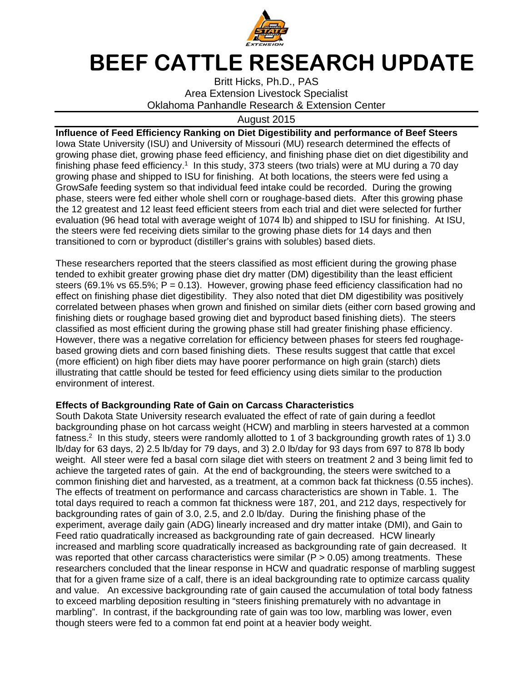

## **BEEF CATTLE RESEARCH UPDATE**

Britt Hicks, Ph.D., PAS Area Extension Livestock Specialist Oklahoma Panhandle Research & Extension Center

## August 2015

**Influence of Feed Efficiency Ranking on Diet Digestibility and performance of Beef Steers**  Iowa State University (ISU) and University of Missouri (MU) research determined the effects of growing phase diet, growing phase feed efficiency, and finishing phase diet on diet digestibility and finishing phase feed efficiency.<sup>1</sup> In this study, 373 steers (two trials) were at MU during a 70 day growing phase and shipped to ISU for finishing. At both locations, the steers were fed using a GrowSafe feeding system so that individual feed intake could be recorded. During the growing phase, steers were fed either whole shell corn or roughage-based diets. After this growing phase the 12 greatest and 12 least feed efficient steers from each trial and diet were selected for further evaluation (96 head total with average weight of 1074 lb) and shipped to ISU for finishing. At ISU, the steers were fed receiving diets similar to the growing phase diets for 14 days and then transitioned to corn or byproduct (distiller's grains with solubles) based diets.

These researchers reported that the steers classified as most efficient during the growing phase tended to exhibit greater growing phase diet dry matter (DM) digestibility than the least efficient steers (69.1% vs 65.5%;  $P = 0.13$ ). However, growing phase feed efficiency classification had no effect on finishing phase diet digestibility. They also noted that diet DM digestibility was positively correlated between phases when grown and finished on similar diets (either corn based growing and finishing diets or roughage based growing diet and byproduct based finishing diets). The steers classified as most efficient during the growing phase still had greater finishing phase efficiency. However, there was a negative correlation for efficiency between phases for steers fed roughagebased growing diets and corn based finishing diets. These results suggest that cattle that excel (more efficient) on high fiber diets may have poorer performance on high grain (starch) diets illustrating that cattle should be tested for feed efficiency using diets similar to the production environment of interest.

## **Effects of Backgrounding Rate of Gain on Carcass Characteristics**

South Dakota State University research evaluated the effect of rate of gain during a feedlot backgrounding phase on hot carcass weight (HCW) and marbling in steers harvested at a common fatness.2 In this study, steers were randomly allotted to 1 of 3 backgrounding growth rates of 1) 3.0 lb/day for 63 days, 2) 2.5 lb/day for 79 days, and 3) 2.0 lb/day for 93 days from 697 to 878 lb body weight. All steer were fed a basal corn silage diet with steers on treatment 2 and 3 being limit fed to achieve the targeted rates of gain. At the end of backgrounding, the steers were switched to a common finishing diet and harvested, as a treatment, at a common back fat thickness (0.55 inches). The effects of treatment on performance and carcass characteristics are shown in Table. 1. The total days required to reach a common fat thickness were 187, 201, and 212 days, respectively for backgrounding rates of gain of 3.0, 2.5, and 2.0 lb/day. During the finishing phase of the experiment, average daily gain (ADG) linearly increased and dry matter intake (DMI), and Gain to Feed ratio quadratically increased as backgrounding rate of gain decreased. HCW linearly increased and marbling score quadratically increased as backgrounding rate of gain decreased. It was reported that other carcass characteristics were similar ( $P > 0.05$ ) among treatments. These researchers concluded that the linear response in HCW and quadratic response of marbling suggest that for a given frame size of a calf, there is an ideal backgrounding rate to optimize carcass quality and value. An excessive backgrounding rate of gain caused the accumulation of total body fatness to exceed marbling deposition resulting in "steers finishing prematurely with no advantage in marbling". In contrast, if the backgrounding rate of gain was too low, marbling was lower, even though steers were fed to a common fat end point at a heavier body weight.